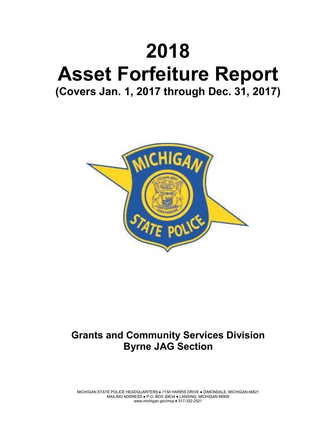# **2018 Asset Forfeiture Report (Covers Jan. 1, 2017 through Dec. 31, 2017)**



# **Grants and Community Services Division Byrne JAG Section**

MICHIGAN STATE POLICE HEADQUARTERS ● 7150 HARRIS DRIVE ● DIMONDALE, MICHIGAN 48821 MAILING ADDRESS ● P.O. BOX 30634 ● LANSING, MICHIGAN 48909 www.michigan.gov/msp ● 517-332-2521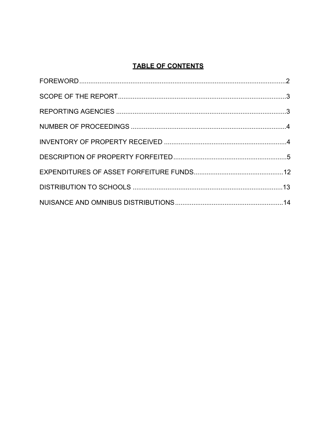## **TABLE OF CONTENTS**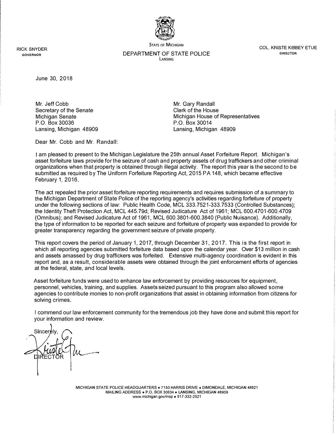

RICK SNYDER GOVERNOR

DEPARTMENT OF STATE POLICE LANSING

STATE OF MICHIGAN COL. KRISTE KIBBEY ETUE DIRECTOR

June 30, 2018

Mr. Jeff Cobb Secretary of the Senate Michigan Senate P.O. Box 30036 Lansing, Michigan 48909 Mr. Gary Randall Clerk of the House Michigan House of Representatives P.O. Box 30014 Lansing, Michigan 48909

Dear Mr. Cobb and Mr. Randall:

I am pleased to present to the Michigan Legislature the 25th annual Asset Forfeiture Report. Michigan's asset forfeiture laws provide for the seizure of cash and property assets of drug traffickers and other criminal organizations when that property is obtained through illegal activity. The report this year is the second to be submitted as required by The Uniform Forfeiture Reporting Act, 2015 PA 148, which became effective February 1, 2016.

The act repealed the prior asset forfeiture reporting requirements and requires submission of a summary to the Michigan Department of State Police of the reporting agency's activities regarding forfeiture of property under the following sections of law: Public Health Code, MCL 333.7521-333.7533 (Controlled Substances); the Identity Theft Protection Act, MCL 445.79d; Revised Judicature Act of 1961; MCL 600.4701-600.4709 (Omnibus); and Revised Judicature Act of 1961, MCL 600.3801-600.3840 (Public Nuisance). Additionally, the type of information to be reported for each seizure and forfeiture of property was expanded to provide for greater transparency regarding the government seizure of private property.

This report covers the period of January 1, 2017, through December 31, 2017. This is the first report in which all reporting agencies submitted forfeiture data based upon the calendar year. Over \$13 million in cash and assets amassed by drug traffickers was forfeited. Extensive multi-agency coordination is evident in this report and, as a result, considerable assets were obtained through the joint enforcement efforts of agencies at the federal, state, and local levels.

Asset forfeiture funds were used to enhance law enforcement by providing resources for equipment, personnel, vehicles, training, and supplies. Assets seized pursuant to this program also allowed some agencies to contribute monies to non-profit organizations that assist in obtaining information from citizens for solving crimes.

I commend our law enforcement community for the tremendous job they have done and submit this report for your information and review.

Sincerély

MICHIGAN STATE POLICE HEADQUARTERS • 7150 HARRIS DRIVE • DIMONDALE, MICHIGAN 48821 MAILING ADDRESS • P.O. BOX 30634 • LANSING, MICHIGAN 48909 www.michigan.gov/msp • 517-332-2521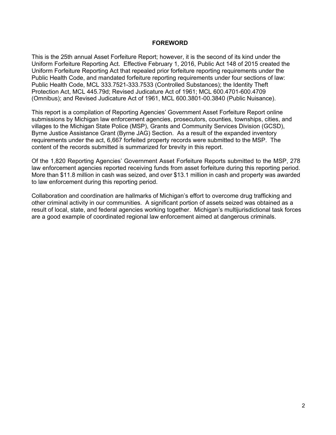#### **FOREWORD**

This is the 25th annual Asset Forfeiture Report; however, it is the second of its kind under the Uniform Forfeiture Reporting Act. Effective February 1, 2016, Public Act 148 of 2015 created the Uniform Forfeiture Reporting Act that repealed prior forfeiture reporting requirements under the Public Health Code, and mandated forfeiture reporting requirements under four sections of law: Public Health Code, MCL 333.7521-333.7533 (Controlled Substances); the Identity Theft Protection Act, MCL 445.79d; Revised Judicature Act of 1961; MCL 600.4701-600.4709 (Omnibus); and Revised Judicature Act of 1961, MCL 600.3801-00.3840 (Public Nuisance).

This report is a compilation of Reporting Agencies' Government Asset Forfeiture Report online submissions by Michigan law enforcement agencies, prosecutors, counties, townships, cities, and villages to the Michigan State Police (MSP), Grants and Community Services Division (GCSD), Byrne Justice Assistance Grant (Byrne JAG) Section. As a result of the expanded inventory requirements under the act, 6,667 forfeited property records were submitted to the MSP. The content of the records submitted is summarized for brevity in this report.

Of the 1,820 Reporting Agencies' Government Asset Forfeiture Reports submitted to the MSP, 278 law enforcement agencies reported receiving funds from asset forfeiture during this reporting period. More than \$11.8 million in cash was seized, and over \$13.1 million in cash and property was awarded to law enforcement during this reporting period.

Collaboration and coordination are hallmarks of Michigan's effort to overcome drug trafficking and other criminal activity in our communities. A significant portion of assets seized was obtained as a result of local, state, and federal agencies working together. Michigan's multijurisdictional task forces are a good example of coordinated regional law enforcement aimed at dangerous criminals.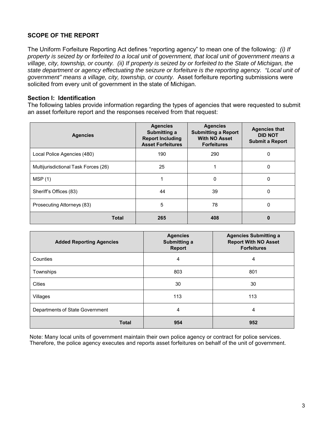#### **SCOPE OF THE REPORT**

The Uniform Forfeiture Reporting Act defines "reporting agency" to mean one of the following*: (i) If property is seized by or forfeited to a local unit of government, that local unit of government means a village, city, township, or county. (ii) If property is seized by or forfeited to the State of Michigan, the state department or agency effectuating the seizure or forfeiture is the reporting agency. "Local unit of government" means a village, city, township, or county.* Asset forfeiture reporting submissions were solicited from every unit of government in the state of Michigan.

#### **Section I: Identification**

The following tables provide information regarding the types of agencies that were requested to submit an asset forfeiture report and the responses received from that request:

| <b>Agencies</b>                      | <b>Agencies</b><br>Submitting a<br><b>Report Including</b><br><b>Asset Forfeitures</b> | <b>Agencies</b><br><b>Submitting a Report</b><br><b>With NO Asset</b><br><b>Forfeitures</b> | <b>Agencies that</b><br><b>DID NOT</b><br><b>Submit a Report</b> |
|--------------------------------------|----------------------------------------------------------------------------------------|---------------------------------------------------------------------------------------------|------------------------------------------------------------------|
| Local Police Agencies (480)          | 190                                                                                    | 290                                                                                         | 0                                                                |
| Multijurisdictional Task Forces (26) | 25                                                                                     |                                                                                             | 0                                                                |
| MSP(1)                               |                                                                                        | 0                                                                                           | 0                                                                |
| Sheriff's Offices (83)               | 44                                                                                     | 39                                                                                          | 0                                                                |
| Prosecuting Attorneys (83)           | 5                                                                                      | 78                                                                                          | 0                                                                |
| <b>Total</b>                         | 265                                                                                    | 408                                                                                         |                                                                  |

| <b>Added Reporting Agencies</b> | <b>Agencies</b><br>Submitting a<br><b>Report</b> | <b>Agencies Submitting a</b><br><b>Report With NO Asset</b><br><b>Forfeitures</b> |
|---------------------------------|--------------------------------------------------|-----------------------------------------------------------------------------------|
| Counties                        | 4                                                | 4                                                                                 |
| Townships                       | 803                                              | 801                                                                               |
| <b>Cities</b>                   | 30                                               | 30                                                                                |
| Villages                        | 113                                              | 113                                                                               |
| Departments of State Government | 4                                                | 4                                                                                 |
| <b>Total</b>                    | 954                                              | 952                                                                               |

Note: Many local units of government maintain their own police agency or contract for police services. Therefore, the police agency executes and reports asset forfeitures on behalf of the unit of government.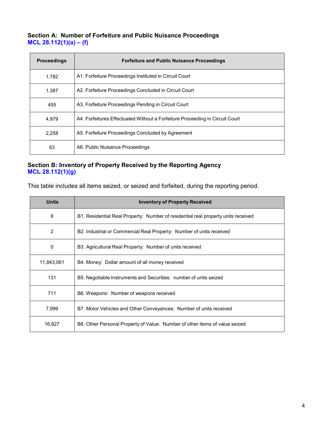#### **Section A: Number of Forfeiture and Public Nuisance Proceedings MCL 28.112(1)(a) – (f)**

| <b>Proceedings</b> | <b>Forfeiture and Public Nuisance Proceedings</b>                            |
|--------------------|------------------------------------------------------------------------------|
| 1,782              | A1. Forfeiture Proceedings Instituted in Circuit Court                       |
| 1.387              | A2. Forfeiture Proceedings Concluded in Circuit Court                        |
| 455                | A3. Forfeiture Proceedings Pending in Circuit Court                          |
| 4.979              | A4. Forfeitures Effectuated Without a Forfeiture Proceeding in Circuit Court |
| 2,258              | A5. Forfeiture Proceedings Concluded by Agreement                            |
| 63                 | A6. Public Nuisance Proceedings                                              |

#### **Section B: Inventory of Property Received by the Reporting Agency MCL 28.112(1)(g)**

This table includes all items seized, or seized and forfeited, during the reporting period.

| <b>Units</b> | <b>Inventory of Property Received</b>                                             |
|--------------|-----------------------------------------------------------------------------------|
| 8            | B1. Residential Real Property: Number of residential real property units received |
| 2            | B2. Industrial or Commercial Real Property: Number of units received              |
| 0            | B3. Agricultural Real Property: Number of units received                          |
| 11,843,061   | B4. Money: Dollar amount of all money received                                    |
| 131          | B5. Negotiable Instruments and Securities: number of units seized                 |
| 711          | B6. Weapons: Number of weapons received                                           |
| 7,999        | B7. Motor Vehicles and Other Conveyances: Number of units received                |
| 16,827       | B8. Other Personal Property of Value: Number of other items of value seized       |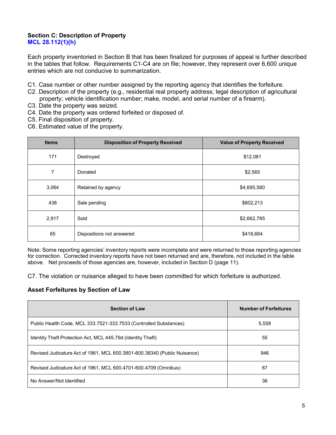#### **Section C: Description of Property MCL 28.112(1)(h)**

Each property inventoried in Section B that has been finalized for purposes of appeal is further described in the tables that follow. Requirements C1-C4 are on file; however, they represent over 6,600 unique entries which are not conducive to summarization.

- C1. Case number or other number assigned by the reporting agency that identifies the forfeiture.
- C2. Description of the property (e.g., residential real property address; legal description of agricultural property; vehicle identification number; make, model, and serial number of a firearm).
- C3. Date the property was seized.
- C4. Date the property was ordered forfeited or disposed of.
- C5. Final disposition of property.
- C6. Estimated value of the property.

| <b>Items</b> | <b>Disposition of Property Received</b> | <b>Value of Property Received</b> |
|--------------|-----------------------------------------|-----------------------------------|
| 171          | Destroyed                               | \$12,081                          |
| 7            | Donated                                 | \$2,565                           |
| 3,064        | Retained by agency                      | \$4,695,580                       |
| 438          | Sale pending                            | \$802,213                         |
| 2,917        | Sold                                    | \$2,662,785                       |
| 65           | Dispositions not answered               | \$418,684                         |

Note: Some reporting agencies' inventory reports were incomplete and were returned to those reporting agencies for correction. Corrected inventory reports have not been returned and are, therefore, not included in the table above. Net proceeds of those agencies are, however, included in Section D (page 11).

C7. The violation or nuisance alleged to have been committed for which forfeiture is authorized.

#### **Asset Forfeitures by Section of Law**

| <b>Section of Law</b>                                                    | <b>Number of Forfeitures</b> |
|--------------------------------------------------------------------------|------------------------------|
| Public Health Code, MCL 333.7521-333.7533 (Controlled Substances)        | 5.558                        |
| Identity Theft Protection Act, MCL 445.79d (Identity Theft)              | 55                           |
| Revised Judicature Act of 1961, MCL 600.3801-600.38340 (Public Nuisance) | 946                          |
| Revised Judicature Act of 1961, MCL 600.4701-600.4709 (Omnibus)          | 67                           |
| No Answer/Not Identified                                                 | 36                           |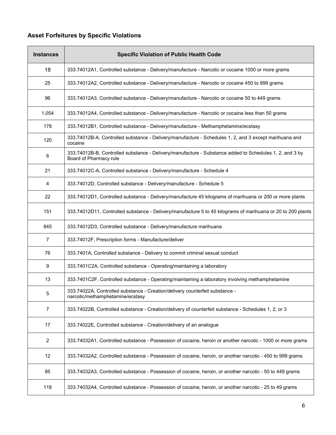### **Asset Forfeitures by Specific Violations**

| <b>Instances</b> | <b>Specific Violation of Public Health Code</b>                                                                                   |
|------------------|-----------------------------------------------------------------------------------------------------------------------------------|
| 18               | 333.74012A1, Controlled substance - Delivery/manufacture - Narcotic or cocaine 1000 or more grams                                 |
| 25               | 333.74012A2, Controlled substance - Delivery/manufacture - Narcotic or cocaine 450 to 999 grams                                   |
| 96               | 333.74012A3, Controlled substance - Delivery/manufacture - Narcotic or cocaine 50 to 449 grams                                    |
| 1,054            | 333.74012A4, Controlled substance - Delivery/manufacture - Narcotic or cocaine less than 50 grams                                 |
| 178              | 333.74012B1, Controlled substance - Delivery/manufacture - Methamphetamine/ecstasy                                                |
| 120              | 333.74012B-A, Controlled substance - Delivery/manufacture - Schedules 1, 2, and 3 except marihuana and<br>cocaine                 |
| 6                | 333.74012B-B, Controlled substance - Delivery/manufacture - Substance added to Schedules 1, 2, and 3 by<br>Board of Pharmacy rule |
| 21               | 333.74012C-A, Controlled substance - Delivery/manufacture - Schedule 4                                                            |
| 4                | 333.74012D, Controlled substance - Delivery/manufacture - Schedule 5                                                              |
| 22               | 333.74012D1, Controlled substance - Delivery/manufacture 45 kilograms of marihuana or 200 or more plants                          |
| 151              | 333.74012D11, Controlled substance - Delivery/manufacture 5 to 45 kilograms of marihuana or 20 to 200 plants                      |
| 845              | 333.74012D3, Controlled substance - Delivery/manufacture marihuana                                                                |
| $\overline{7}$   | 333.74012F, Prescription forms - Manufacture/deliver                                                                              |
| 76               | 333.7401A, Controlled substance - Delivery to commit criminal sexual conduct                                                      |
| 9                | 333.7401C2A, Controlled substance - Operating/maintaining a laboratory                                                            |
| 13               | 333.7401C2F, Controlled substance - Operating/maintaining a laboratory involving methamphetamine                                  |
| 5                | 333.74022A, Controlled substance - Creation/delivery counterfeit substance -<br>narcotic/methamphetamine/ecstasy                  |
| 7                | 333.74022B, Controlled substance - Creation/delivery of counterfeit substance - Schedules 1, 2, or 3                              |
| 17               | 333.74022E, Controlled substance - Creation/delivery of an analogue                                                               |
| 2                | 333.74032A1, Controlled substance - Possession of cocaine, heroin or another narcotic - 1000 or more grams                        |
| 12               | 333.74032A2, Controlled substance - Possession of cocaine, heroin, or another narcotic - 450 to 999 grams                         |
| 85               | 333.74032A3, Controlled substance - Possession of cocaine, heroin, or another narcotic - 50 to 449 grams                          |
| 118              | 333.74032A4, Controlled substance - Possession of cocaine, heroin, or another narcotic - 25 to 49 grams                           |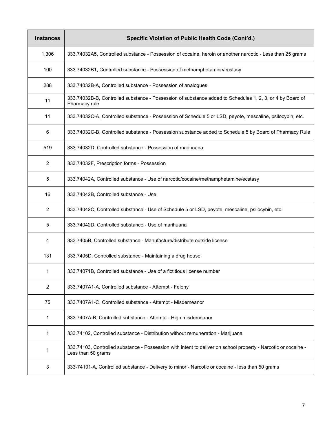| <b>Instances</b> | Specific Violation of Public Health Code (Cont'd.)                                                                                   |
|------------------|--------------------------------------------------------------------------------------------------------------------------------------|
| 1,306            | 333.74032A5, Controlled substance - Possession of cocaine, heroin or another narcotic - Less than 25 grams                           |
| 100              | 333.74032B1, Controlled substance - Possession of methamphetamine/ecstasy                                                            |
| 288              | 333.74032B-A, Controlled substance - Possession of analogues                                                                         |
| 11               | 333.74032B-B, Controlled substance - Possession of substance added to Schedules 1, 2, 3, or 4 by Board of<br>Pharmacy rule           |
| 11               | 333.74032C-A, Controlled substance - Possession of Schedule 5 or LSD, peyote, mescaline, psilocybin, etc.                            |
| 6                | 333.74032C-B, Controlled substance - Possession substance added to Schedule 5 by Board of Pharmacy Rule                              |
| 519              | 333.74032D, Controlled substance - Possession of marihuana                                                                           |
| $\overline{c}$   | 333.74032F, Prescription forms - Possession                                                                                          |
| 5                | 333.74042A, Controlled substance - Use of narcotic/cocaine/methamphetamine/ecstasy                                                   |
| 16               | 333.74042B, Controlled substance - Use                                                                                               |
| $\overline{2}$   | 333.74042C, Controlled substance - Use of Schedule 5 or LSD, peyote, mescaline, psilocybin, etc.                                     |
| 5                | 333.74042D, Controlled substance - Use of marihuana                                                                                  |
| 4                | 333.7405B, Controlled substance - Manufacture/distribute outside license                                                             |
| 131              | 333.7405D, Controlled substance - Maintaining a drug house                                                                           |
| 1                | 333.74071B, Controlled substance - Use of a fictitious license number                                                                |
| $\boldsymbol{2}$ | 333.7407A1-A, Controlled substance - Attempt - Felony                                                                                |
| 75               | 333.7407A1-C, Controlled substance - Attempt - Misdemeanor                                                                           |
| 1                | 333.7407A-B, Controlled substance - Attempt - High misdemeanor                                                                       |
| 1                | 333.74102, Controlled substance - Distribution without remuneration - Marijuana                                                      |
| 1                | 333.74103, Controlled substance - Possession with intent to deliver on school property - Narcotic or cocaine -<br>Less than 50 grams |
| 3                | 333-74101-A, Controlled substance - Delivery to minor - Narcotic or cocaine - less than 50 grams                                     |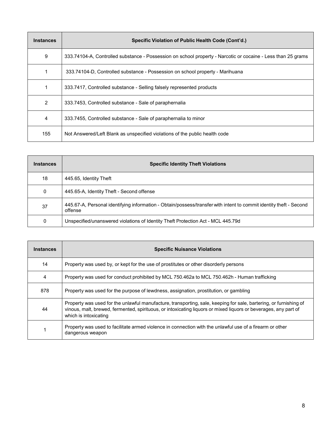| <b>Instances</b> | Specific Violation of Public Health Code (Cont'd.)                                                           |
|------------------|--------------------------------------------------------------------------------------------------------------|
| 9                | 333.74104-A, Controlled substance - Possession on school property - Narcotic or cocaine - Less than 25 grams |
|                  | 333.74104-D. Controlled substance - Possession on school property - Marihuana                                |
|                  | 333.7417, Controlled substance - Selling falsely represented products                                        |
| 2                | 333.7453, Controlled substance - Sale of paraphernalia                                                       |
| 4                | 333.7455, Controlled substance - Sale of paraphernalia to minor                                              |
| 155              | Not Answered/Left Blank as unspecified violations of the public health code                                  |

| <b>Instances</b> | <b>Specific Identity Theft Violations</b>                                                                                     |
|------------------|-------------------------------------------------------------------------------------------------------------------------------|
| 18               | 445.65, Identity Theft                                                                                                        |
| 0                | 445.65-A, Identity Theft - Second offense                                                                                     |
| 37               | 445.67-A, Personal identifying information - Obtain/possess/transfer with intent to commit identity theft - Second<br>offense |
| 0                | Unspecified/unanswered violations of Identity Theft Protection Act - MCL 445.79d                                              |

| <b>Instances</b> | <b>Specific Nuisance Violations</b>                                                                                                                                                                                                                           |
|------------------|---------------------------------------------------------------------------------------------------------------------------------------------------------------------------------------------------------------------------------------------------------------|
| 14               | Property was used by, or kept for the use of prostitutes or other disorderly persons                                                                                                                                                                          |
| $\overline{4}$   | Property was used for conduct prohibited by MCL 750.462a to MCL 750.462h - Human trafficking                                                                                                                                                                  |
| 878              | Property was used for the purpose of lewdness, assignation, prostitution, or gambling                                                                                                                                                                         |
| 44               | Property was used for the unlawful manufacture, transporting, sale, keeping for sale, bartering, or furnishing of<br>vinous, malt, brewed, fermented, spirituous, or intoxicating liguors or mixed liguors or beverages, any part of<br>which is intoxicating |
|                  | Property was used to facilitate armed violence in connection with the unlawful use of a firearm or other<br>dangerous weapon                                                                                                                                  |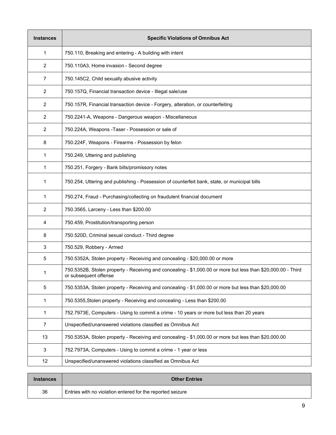| <b>Instances</b> | <b>Specific Violations of Omnibus Act</b>                                                                                             |
|------------------|---------------------------------------------------------------------------------------------------------------------------------------|
| 1                | 750.110, Breaking and entering - A building with intent                                                                               |
| 2                | 750.110A3, Home invasion - Second degree                                                                                              |
| $\overline{7}$   | 750.145C2, Child sexually abusive activity                                                                                            |
| $\overline{2}$   | 750.157Q, Financial transaction device - Illegal sale/use                                                                             |
| 2                | 750.157R, Financial transaction device - Forgery, alteration, or counterfeiting                                                       |
| 2                | 750.2241-A, Weapons - Dangerous weapon - Miscellaneous                                                                                |
| 2                | 750.224A, Weapons - Taser - Possession or sale of                                                                                     |
| 8                | 750.224F, Weapons - Firearms - Possession by felon                                                                                    |
| 1                | 750.249, Uttering and publishing                                                                                                      |
| 1                | 750.251, Forgery - Bank bills/promissory notes                                                                                        |
| 1                | 750.254, Uttering and publishing - Possession of counterfeit bank, state, or municipal bills                                          |
| 1                | 750.274, Fraud - Purchasing/collecting on fraudulent financial document                                                               |
| 2                | 750.3565, Larceny - Less than \$200.00                                                                                                |
| 4                | 750.459, Prostitution/transporting person                                                                                             |
| 8                | 750.520D, Criminal sexual conduct - Third degree                                                                                      |
| 3                | 750.529, Robbery - Armed                                                                                                              |
| 5                | 750.5352A, Stolen property - Receiving and concealing - \$20,000.00 or more                                                           |
| 1                | 750.5352B, Stolen property - Receiving and concealing - \$1,000.00 or more but less than \$20,000.00 - Third<br>or subsequent offense |
| 5                | 750.5353A, Stolen property - Receiving and concealing - \$1,000.00 or more but less than \$20,000.00                                  |
| 1                | 750.5355, Stolen property - Receiving and concealing - Less than \$200.00                                                             |
| 1                | 752.7973E, Computers - Using to commit a crime - 10 years or more but less than 20 years                                              |
| $\overline{7}$   | Unspecified/unanswered violations classified as Omnibus Act                                                                           |
| 13               | 750.5353A, Stolen property - Receiving and concealing - \$1,000.00 or more but less than \$20,000.00                                  |
| 3                | 752.7973A, Computers - Using to commit a crime - 1 year or less                                                                       |
| 12               | Unspecified/unanswered violations classified as Omnibus Act                                                                           |
|                  |                                                                                                                                       |

| <b>Instances</b> | <b>Other Entries</b>                                       |
|------------------|------------------------------------------------------------|
| 36               | Entries with no violation entered for the reported seizure |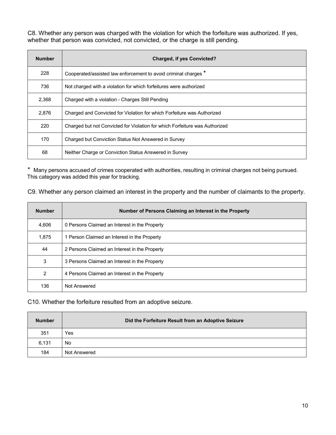C8. Whether any person was charged with the violation for which the forfeiture was authorized. If yes, whether that person was convicted, not convicted, or the charge is still pending.

| <b>Number</b> | <b>Charged, if yes Convicted?</b>                                           |
|---------------|-----------------------------------------------------------------------------|
| 228           | Cooperated/assisted law enforcement to avoid criminal charges *             |
| 736           | Not charged with a violation for which forfeitures were authorized          |
| 2,368         | Charged with a violation - Charges Still Pending                            |
| 2,876         | Charged and Convicted for Violation for which Forfeiture was Authorized     |
| 220           | Charged but not Convicted for Violation for which Forfeiture was Authorized |
| 170           | Charged but Conviction Status Not Answered in Survey                        |
| 68            | Neither Charge or Conviction Status Answered in Survey                      |

\* Many persons accused of crimes cooperated with authorities, resulting in criminal charges not being pursued. This category was added this year for tracking.

C9. Whether any person claimed an interest in the property and the number of claimants to the property.

| <b>Number</b> | Number of Persons Claiming an Interest in the Property |
|---------------|--------------------------------------------------------|
| 4,606         | 0 Persons Claimed an Interest in the Property          |
| 1,875         | 1 Person Claimed an Interest in the Property           |
| 44            | 2 Persons Claimed an Interest in the Property          |
| 3             | 3 Persons Claimed an Interest in the Property          |
| 2             | 4 Persons Claimed an Interest in the Property          |
| 136           | Not Answered                                           |

C10. Whether the forfeiture resulted from an adoptive seizure.

| <b>Number</b> | Did the Forfeiture Result from an Adoptive Seizure |
|---------------|----------------------------------------------------|
| 351           | Yes                                                |
| 6,131         | No                                                 |
| 184           | Not Answered                                       |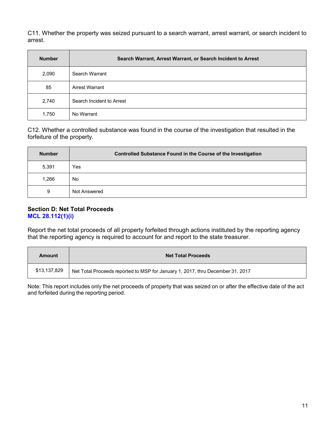C11. Whether the property was seized pursuant to a search warrant, arrest warrant, or search incident to arrest.

| <b>Number</b> | Search Warrant, Arrest Warrant, or Search Incident to Arrest |
|---------------|--------------------------------------------------------------|
| 2,090         | Search Warrant                                               |
| 85            | <b>Arrest Warrant</b>                                        |
| 2,740         | Search Incident to Arrest                                    |
| 1,750         | No Warrant                                                   |

C12. Whether a controlled substance was found in the course of the investigation that resulted in the forfeiture of the property.

| <b>Number</b> | Controlled Substance Found in the Course of the Investigation |
|---------------|---------------------------------------------------------------|
| 5,391         | Yes                                                           |
| 1,266         | No                                                            |
| 9             | Not Answered                                                  |

#### **Section D: Net Total Proceeds MCL 28.112(1)(i)**

Report the net total proceeds of all property forfeited through actions instituted by the reporting agency that the reporting agency is required to account for and report to the state treasurer.

| Amount       | <b>Net Total Proceeds</b>                                                      |
|--------------|--------------------------------------------------------------------------------|
| \$13,137,829 | Net Total Proceeds reported to MSP for January 1, 2017, thru December 31, 2017 |

Note: This report includes only the net proceeds of property that was seized on or after the effective date of the act and forfeited during the reporting period.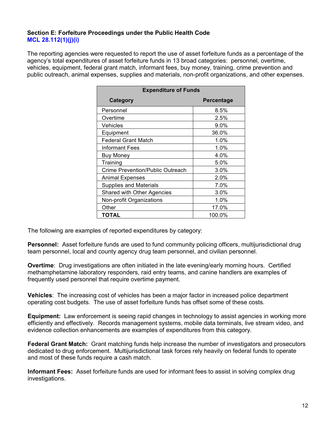#### **Section E: Forfeiture Proceedings under the Public Health Code MCL 28.112(1)(j)(i)**

The reporting agencies were requested to report the use of asset forfeiture funds as a percentage of the agency's total expenditures of asset forfeiture funds in 13 broad categories: personnel, overtime, vehicles, equipment, federal grant match, informant fees, buy money, training, crime prevention and public outreach, animal expenses, supplies and materials, non-profit organizations, and other expenses.

| <b>Expenditure of Funds</b>              |            |  |
|------------------------------------------|------------|--|
| Category                                 | Percentage |  |
| Personnel                                | 8.5%       |  |
| Overtime                                 | 2.5%       |  |
| Vehicles                                 | $9.0\%$    |  |
| Equipment                                | 36.0%      |  |
| <b>Federal Grant Match</b>               | 1.0%       |  |
| Informant Fees                           | 1.0%       |  |
| <b>Buy Money</b>                         | 4.0%       |  |
| Training                                 | 5.0%       |  |
| Crime Prevention/Public Outreach<br>3.0% |            |  |
| 2.0%<br>Animal Expenses                  |            |  |
| <b>Supplies and Materials</b><br>7.0%    |            |  |
| Shared with Other Agencies               | 3.0%       |  |
| 1.0%<br>Non-profit Organizations         |            |  |
| 17.0%<br>Other                           |            |  |
| TOTAL                                    | 100.0%     |  |

The following are examples of reported expenditures by category:

**Personnel:** Asset forfeiture funds are used to fund community policing officers, multijurisdictional drug team personnel, local and county agency drug team personnel, and civilian personnel.

**Overtime**: Drug investigations are often initiated in the late evening/early morning hours. Certified methamphetamine laboratory responders, raid entry teams, and canine handlers are examples of frequently used personnel that require overtime payment.

**Vehicles**: The increasing cost of vehicles has been a major factor in increased police department operating cost budgets. The use of asset forfeiture funds has offset some of these costs.

**Equipment:** Law enforcement is seeing rapid changes in technology to assist agencies in working more efficiently and effectively. Records management systems, mobile data terminals, live stream video, and evidence collection enhancements are examples of expenditures from this category.

**Federal Grant Match:** Grant matching funds help increase the number of investigators and prosecutors dedicated to drug enforcement. Multijurisdictional task forces rely heavily on federal funds to operate and most of these funds require a cash match.

**Informant Fees:** Asset forfeiture funds are used for informant fees to assist in solving complex drug investigations.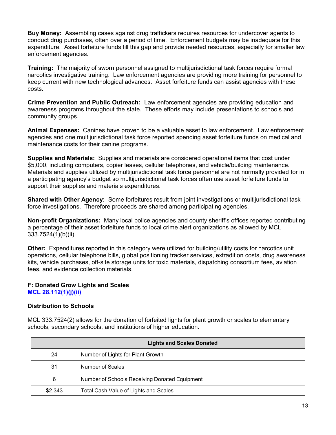**Buy Money:** Assembling cases against drug traffickers requires resources for undercover agents to conduct drug purchases, often over a period of time. Enforcement budgets may be inadequate for this expenditure. Asset forfeiture funds fill this gap and provide needed resources, especially for smaller law enforcement agencies.

**Training:** The majority of sworn personnel assigned to multijurisdictional task forces require formal narcotics investigative training. Law enforcement agencies are providing more training for personnel to keep current with new technological advances. Asset forfeiture funds can assist agencies with these costs.

**Crime Prevention and Public Outreach:** Law enforcement agencies are providing education and awareness programs throughout the state. These efforts may include presentations to schools and community groups.

**Animal Expenses:** Canines have proven to be a valuable asset to law enforcement. Law enforcement agencies and one multijurisdictional task force reported spending asset forfeiture funds on medical and maintenance costs for their canine programs.

**Supplies and Materials:** Supplies and materials are considered operational items that cost under \$5,000, including computers, copier leases, cellular telephones, and vehicle/building maintenance. Materials and supplies utilized by multijurisdictional task force personnel are not normally provided for in a participating agency's budget so multijurisdictional task forces often use asset forfeiture funds to support their supplies and materials expenditures.

**Shared with Other Agency:** Some forfeitures result from joint investigations or multijurisdictional task force investigations. Therefore proceeds are shared among participating agencies.

**Non-profit Organizations:** Many local police agencies and county sheriff's offices reported contributing a percentage of their asset forfeiture funds to local crime alert organizations as allowed by MCL 333.7524(1)(b)(ii).

**Other:** Expenditures reported in this category were utilized for building/utility costs for narcotics unit operations, cellular telephone bills, global positioning tracker services, extradition costs, drug awareness kits, vehicle purchases, off-site storage units for toxic materials, dispatching consortium fees, aviation fees, and evidence collection materials.

#### **F: Donated Grow Lights and Scales MCL 28.112(1)(j)(ii)**

#### **Distribution to Schools**

MCL 333.7524(2) allows for the donation of forfeited lights for plant growth or scales to elementary schools, secondary schools, and institutions of higher education.

|         | <b>Lights and Scales Donated</b>              |
|---------|-----------------------------------------------|
| 24      | Number of Lights for Plant Growth             |
| 31      | Number of Scales                              |
| 6       | Number of Schools Receiving Donated Equipment |
| \$2,343 | Total Cash Value of Lights and Scales         |